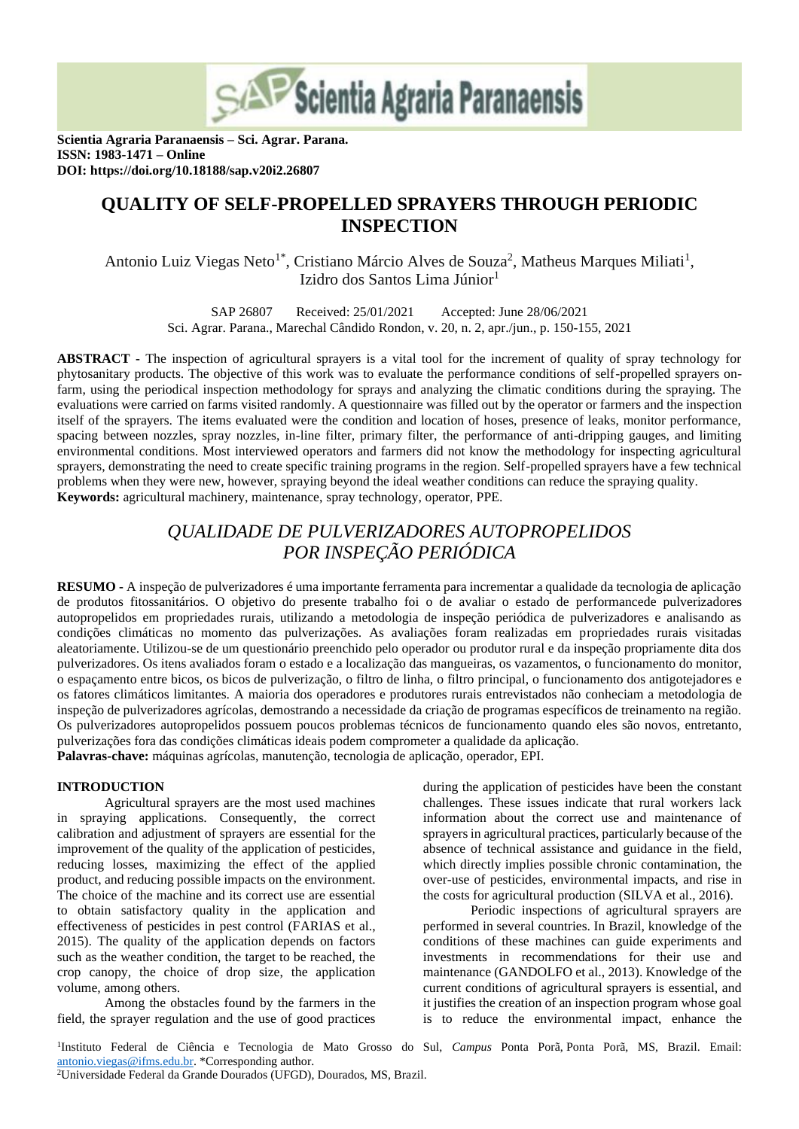

**Scientia Agraria Paranaensis – Sci. Agrar. Parana. ISSN: 1983-1471 – Online DOI:<https://doi.org/10.18188/sap.v20i2.26807>**

# **QUALITY OF SELF-PROPELLED SPRAYERS THROUGH PERIODIC INSPECTION**

Antonio Luiz Viegas Neto<sup>1\*</sup>, Cristiano Márcio Alves de Souza<sup>2</sup>, Matheus Marques Miliati<sup>1</sup>, Izidro dos Santos Lima Júnior<sup>1</sup>

> SAP 26807 Received: 25/01/2021 Accepted: June 28/06/2021 Sci. Agrar. Parana., Marechal Cândido Rondon, v. 20, n. 2, apr./jun., p. 150-155, 2021

**ABSTRACT -** The inspection of agricultural sprayers is a vital tool for the increment of quality of spray technology for phytosanitary products. The objective of this work was to evaluate the performance conditions of self-propelled sprayers onfarm, using the periodical inspection methodology for sprays and analyzing the climatic conditions during the spraying. The evaluations were carried on farms visited randomly. A questionnaire was filled out by the operator or farmers and the inspection itself of the sprayers. The items evaluated were the condition and location of hoses, presence of leaks, monitor performance, spacing between nozzles, spray nozzles, in-line filter, primary filter, the performance of anti-dripping gauges, and limiting environmental conditions. Most interviewed operators and farmers did not know the methodology for inspecting agricultural sprayers, demonstrating the need to create specific training programs in the region. Self-propelled sprayers have a few technical problems when they were new, however, spraying beyond the ideal weather conditions can reduce the spraying quality. **Keywords:** agricultural machinery, maintenance, spray technology, operator, PPE.

## *QUALIDADE DE PULVERIZADORES AUTOPROPELIDOS POR INSPEÇÃO PERIÓDICA*

**RESUMO -** A inspeção de pulverizadores é uma importante ferramenta para incrementar a qualidade da tecnologia de aplicação de produtos fitossanitários. O objetivo do presente trabalho foi o de avaliar o estado de performancede pulverizadores autopropelidos em propriedades rurais, utilizando a metodologia de inspeção periódica de pulverizadores e analisando as condições climáticas no momento das pulverizações. As avaliações foram realizadas em propriedades rurais visitadas aleatoriamente. Utilizou-se de um questionário preenchido pelo operador ou produtor rural e da inspeção propriamente dita dos pulverizadores. Os itens avaliados foram o estado e a localização das mangueiras, os vazamentos, o funcionamento do monitor, o espaçamento entre bicos, os bicos de pulverização, o filtro de linha, o filtro principal, o funcionamento dos antigotejadores e os fatores climáticos limitantes. A maioria dos operadores e produtores rurais entrevistados não conheciam a metodologia de inspeção de pulverizadores agrícolas, demostrando a necessidade da criação de programas específicos de treinamento na região. Os pulverizadores autopropelidos possuem poucos problemas técnicos de funcionamento quando eles são novos, entretanto, pulverizações fora das condições climáticas ideais podem comprometer a qualidade da aplicação. **Palavras-chave:** máquinas agrícolas, manutenção, tecnologia de aplicação, operador, EPI.

**INTRODUCTION** 

Agricultural sprayers are the most used machines in spraying applications. Consequently, the correct calibration and adjustment of sprayers are essential for the improvement of the quality of the application of pesticides, reducing losses, maximizing the effect of the applied product, and reducing possible impacts on the environment. The choice of the machine and its correct use are essential to obtain satisfactory quality in the application and effectiveness of pesticides in pest control (FARIAS et al., 2015). The quality of the application depends on factors such as the weather condition, the target to be reached, the crop canopy, the choice of drop size, the application volume, among others.

Among the obstacles found by the farmers in the field, the sprayer regulation and the use of good practices

during the application of pesticides have been the constant challenges. These issues indicate that rural workers lack information about the correct use and maintenance of sprayers in agricultural practices, particularly because of the absence of technical assistance and guidance in the field, which directly implies possible chronic contamination, the over-use of pesticides, environmental impacts, and rise in the costs for agricultural production (SILVA et al., 2016).

Periodic inspections of agricultural sprayers are performed in several countries. In Brazil, knowledge of the conditions of these machines can guide experiments and investments in recommendations for their use and maintenance (GANDOLFO et al., 2013). Knowledge of the current conditions of agricultural sprayers is essential, and it justifies the creation of an inspection program whose goal is to reduce the environmental impact, enhance the

<sup>&</sup>lt;sup>1</sup>Instituto Federal de Ciência e Tecnologia de Mato Grosso do Sul, *Campus* Ponta Porã, Ponta Porã, MS, Brazil. Email: [antonio.viegas@ifms.edu.br.](about:blank) \*Corresponding author.

<sup>2</sup>Universidade Federal da Grande Dourados (UFGD), Dourados, MS, Brazil.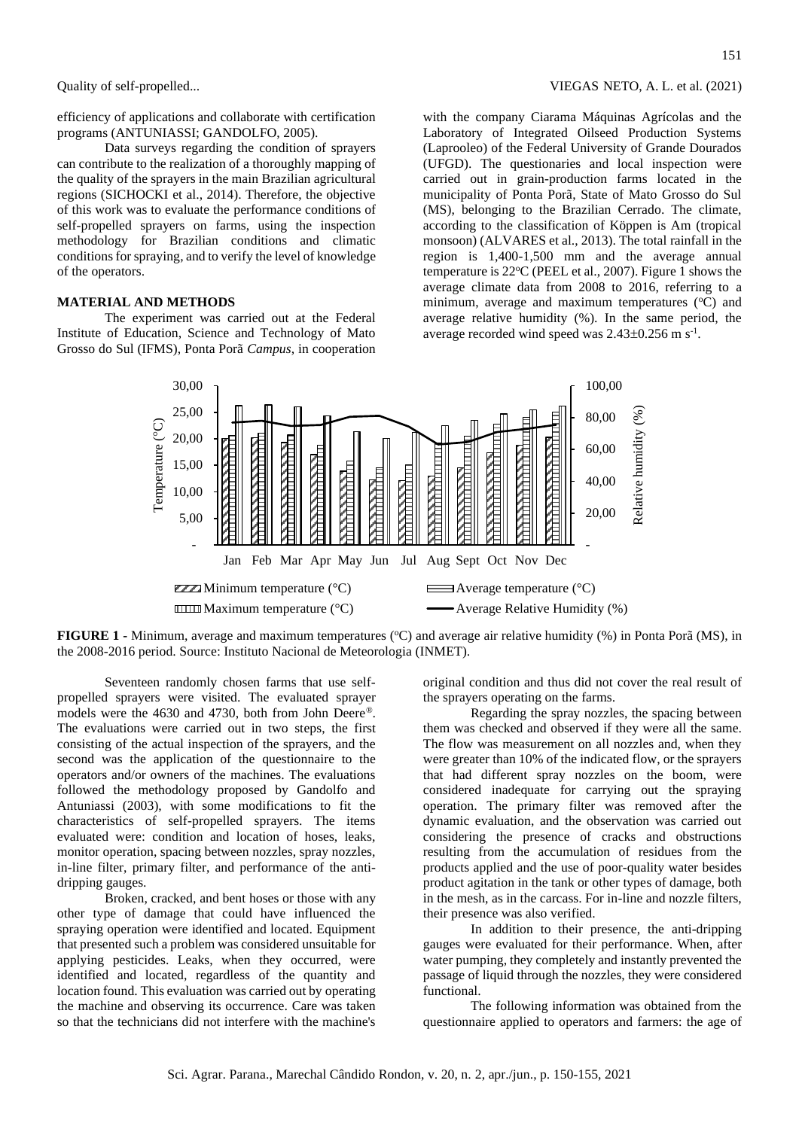Quality of self-propelled... VIEGAS NETO, A. L. et al. (2021)

efficiency of applications and collaborate with certification programs (ANTUNIASSI; GANDOLFO, 2005).

Data surveys regarding the condition of sprayers can contribute to the realization of a thoroughly mapping of the quality of the sprayers in the main Brazilian agricultural regions (SICHOCKI et al., 2014). Therefore, the objective of this work was to evaluate the performance conditions of self-propelled sprayers on farms, using the inspection methodology for Brazilian conditions and climatic conditions for spraying, and to verify the level of knowledge of the operators.

## **MATERIAL AND METHODS**

The experiment was carried out at the Federal Institute of Education, Science and Technology of Mato Grosso do Sul (IFMS), Ponta Porã *Campus*, in cooperation

Laboratory of Integrated Oilseed Production Systems (Laprooleo) of the Federal University of Grande Dourados (UFGD). The questionaries and local inspection were carried out in grain-production farms located in the municipality of Ponta Porã, State of Mato Grosso do Sul (MS), belonging to the Brazilian Cerrado. The climate, according to the classification of Köppen is Am (tropical monsoon) (ALVARES et al., 2013). The total rainfall in the region is 1,400-1,500 mm and the average annual temperature is  $22^{\circ}$ C (PEEL et al., 2007). Figure 1 shows the average climate data from 2008 to 2016, referring to a minimum, average and maximum temperatures  $(°C)$  and average relative humidity (%). In the same period, the average recorded wind speed was  $2.43\pm0.256$  m s<sup>-1</sup>.



FIGURE 1 - Minimum, average and maximum temperatures (°C) and average air relative humidity (%) in Ponta Porã (MS), in the 2008-2016 period. Source: Instituto Nacional de Meteorologia (INMET).

Seventeen randomly chosen farms that use selfpropelled sprayers were visited. The evaluated sprayer models were the 4630 and 4730, both from John Deere®. The evaluations were carried out in two steps, the first consisting of the actual inspection of the sprayers, and the second was the application of the questionnaire to the operators and/or owners of the machines. The evaluations followed the methodology proposed by Gandolfo and Antuniassi (2003), with some modifications to fit the characteristics of self-propelled sprayers. The items evaluated were: condition and location of hoses, leaks, monitor operation, spacing between nozzles, spray nozzles, in-line filter, primary filter, and performance of the antidripping gauges.

Broken, cracked, and bent hoses or those with any other type of damage that could have influenced the spraying operation were identified and located. Equipment that presented such a problem was considered unsuitable for applying pesticides. Leaks, when they occurred, were identified and located, regardless of the quantity and location found. This evaluation was carried out by operating the machine and observing its occurrence. Care was taken so that the technicians did not interfere with the machine's

original condition and thus did not cover the real result of the sprayers operating on the farms.

Regarding the spray nozzles, the spacing between them was checked and observed if they were all the same. The flow was measurement on all nozzles and, when they were greater than 10% of the indicated flow, or the sprayers that had different spray nozzles on the boom, were considered inadequate for carrying out the spraying operation. The primary filter was removed after the dynamic evaluation, and the observation was carried out considering the presence of cracks and obstructions resulting from the accumulation of residues from the products applied and the use of poor-quality water besides product agitation in the tank or other types of damage, both in the mesh, as in the carcass. For in-line and nozzle filters, their presence was also verified.

In addition to their presence, the anti-dripping gauges were evaluated for their performance. When, after water pumping, they completely and instantly prevented the passage of liquid through the nozzles, they were considered functional.

The following information was obtained from the questionnaire applied to operators and farmers: the age of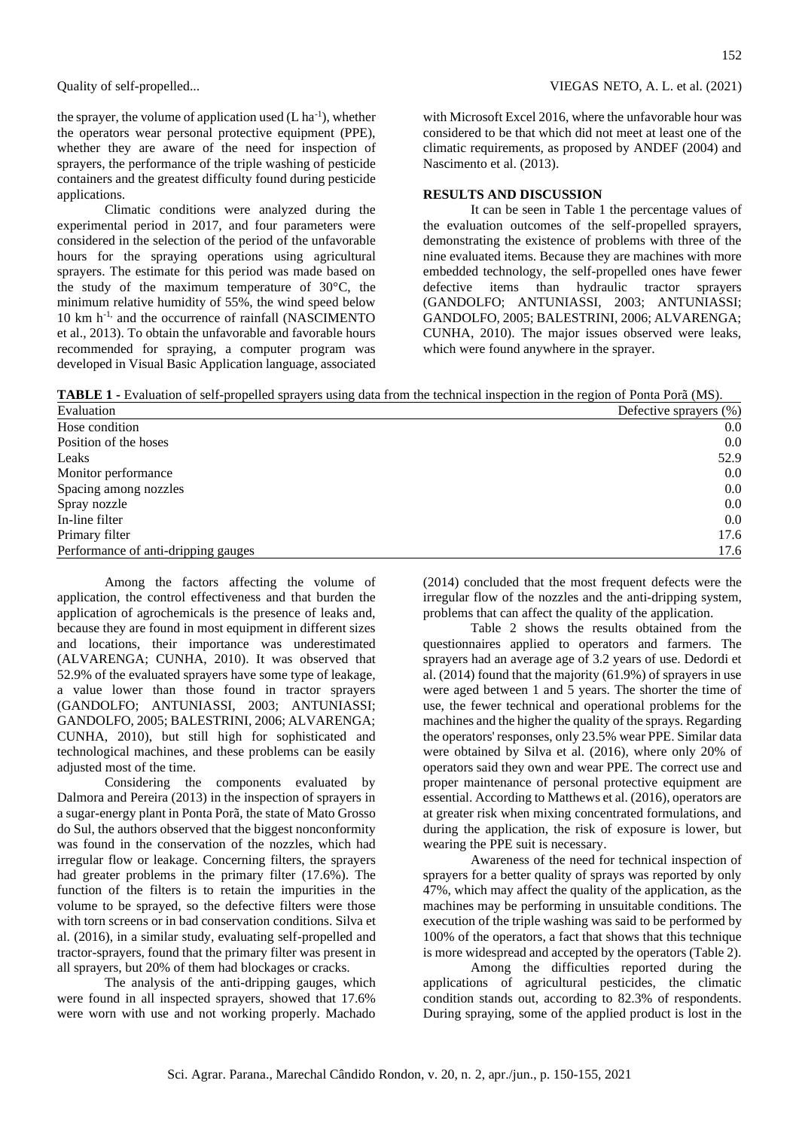Quality of self-propelled... VIEGAS NETO, A. L. et al. (2021)

the sprayer, the volume of application used  $(L ha<sup>-1</sup>)$ , whether the operators wear personal protective equipment (PPE), whether they are aware of the need for inspection of sprayers, the performance of the triple washing of pesticide containers and the greatest difficulty found during pesticide applications.

Climatic conditions were analyzed during the experimental period in 2017, and four parameters were considered in the selection of the period of the unfavorable hours for the spraying operations using agricultural sprayers. The estimate for this period was made based on the study of the maximum temperature of 30°C, the minimum relative humidity of 55%, the wind speed below 10 km h-1, and the occurrence of rainfall (NASCIMENTO et al., 2013). To obtain the unfavorable and favorable hours recommended for spraying, a computer program was developed in Visual Basic Application language, associated with Microsoft Excel 2016, where the unfavorable hour was considered to be that which did not meet at least one of the climatic requirements, as proposed by ANDEF (2004) and Nascimento et al. (2013).

#### **RESULTS AND DISCUSSION**

It can be seen in Table 1 the percentage values of the evaluation outcomes of the self-propelled sprayers, demonstrating the existence of problems with three of the nine evaluated items. Because they are machines with more embedded technology, the self-propelled ones have fewer defective items than hydraulic tractor sprayers (GANDOLFO; ANTUNIASSI, 2003; ANTUNIASSI; GANDOLFO, 2005; BALESTRINI, 2006; ALVARENGA; CUNHA, 2010). The major issues observed were leaks, which were found anywhere in the sprayer.

**TABLE 1 -** Evaluation of self-propelled sprayers using data from the technical inspection in the region of Ponta Porã (MS).

| Evaluation                          | Defective sprayers $(\%)$ |
|-------------------------------------|---------------------------|
| Hose condition                      | 0.0                       |
| Position of the hoses               | 0.0                       |
| Leaks                               | 52.9                      |
| Monitor performance                 | 0.0                       |
| Spacing among nozzles               | 0.0                       |
| Spray nozzle                        | 0.0                       |
| In-line filter                      | 0.0                       |
| Primary filter                      | 17.6                      |
| Performance of anti-dripping gauges | 17.6                      |

Among the factors affecting the volume of application, the control effectiveness and that burden the application of agrochemicals is the presence of leaks and, because they are found in most equipment in different sizes and locations, their importance was underestimated (ALVARENGA; CUNHA, 2010). It was observed that 52.9% of the evaluated sprayers have some type of leakage, a value lower than those found in tractor sprayers (GANDOLFO; ANTUNIASSI, 2003; ANTUNIASSI; GANDOLFO, 2005; BALESTRINI, 2006; ALVARENGA; CUNHA, 2010), but still high for sophisticated and technological machines, and these problems can be easily adjusted most of the time.

Considering the components evaluated by Dalmora and Pereira (2013) in the inspection of sprayers in a sugar-energy plant in Ponta Porã, the state of Mato Grosso do Sul, the authors observed that the biggest nonconformity was found in the conservation of the nozzles, which had irregular flow or leakage. Concerning filters, the sprayers had greater problems in the primary filter (17.6%). The function of the filters is to retain the impurities in the volume to be sprayed, so the defective filters were those with torn screens or in bad conservation conditions. Silva et al. (2016), in a similar study, evaluating self-propelled and tractor-sprayers, found that the primary filter was present in all sprayers, but 20% of them had blockages or cracks.

The analysis of the anti-dripping gauges, which were found in all inspected sprayers, showed that 17.6% were worn with use and not working properly. Machado (2014) concluded that the most frequent defects were the irregular flow of the nozzles and the anti-dripping system, problems that can affect the quality of the application.

Table 2 shows the results obtained from the questionnaires applied to operators and farmers. The sprayers had an average age of 3.2 years of use. Dedordi et al. (2014) found that the majority (61.9%) of sprayers in use were aged between 1 and 5 years. The shorter the time of use, the fewer technical and operational problems for the machines and the higher the quality of the sprays. Regarding the operators' responses, only 23.5% wear PPE. Similar data were obtained by Silva et al. (2016), where only 20% of operators said they own and wear PPE. The correct use and proper maintenance of personal protective equipment are essential. According to Matthews et al. (2016), operators are at greater risk when mixing concentrated formulations, and during the application, the risk of exposure is lower, but wearing the PPE suit is necessary.

Awareness of the need for technical inspection of sprayers for a better quality of sprays was reported by only 47%, which may affect the quality of the application, as the machines may be performing in unsuitable conditions. The execution of the triple washing was said to be performed by 100% of the operators, a fact that shows that this technique is more widespread and accepted by the operators (Table 2).

Among the difficulties reported during the applications of agricultural pesticides, the climatic condition stands out, according to 82.3% of respondents. During spraying, some of the applied product is lost in the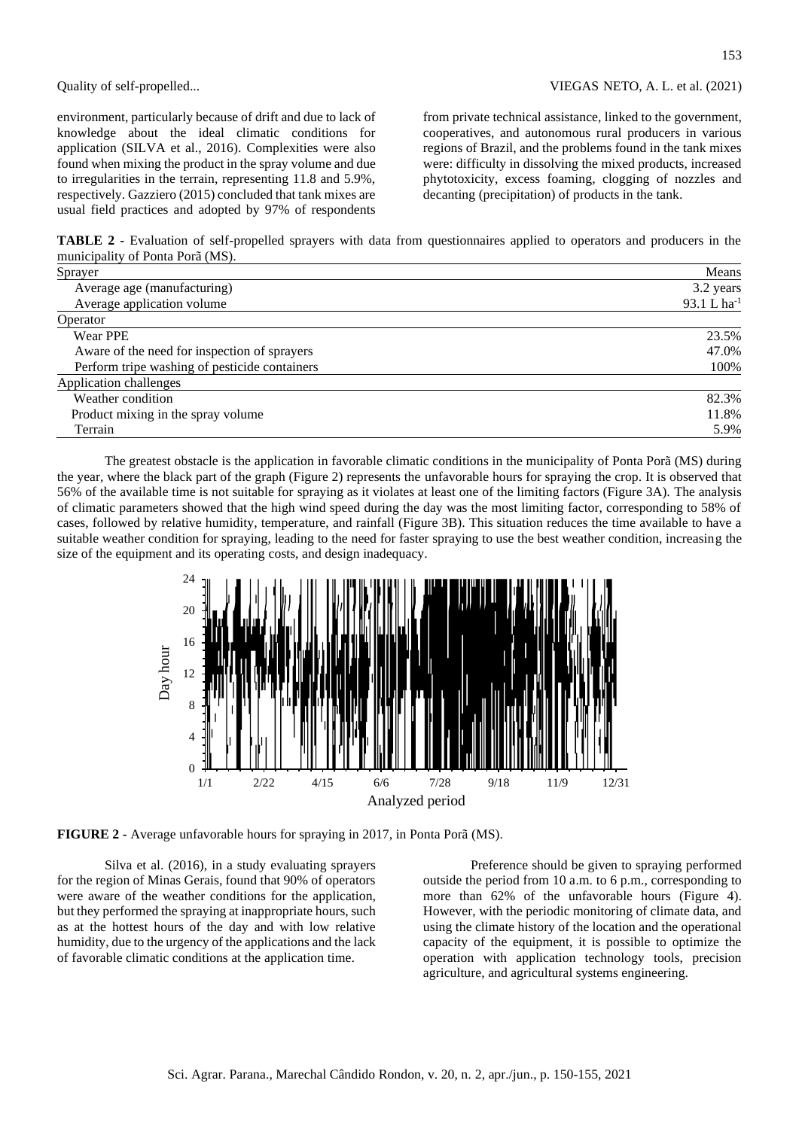Quality of self-propelled... VIEGAS NETO, A. L. et al. (2021)

environment, particularly because of drift and due to lack of knowledge about the ideal climatic conditions for application (SILVA et al., 2016). Complexities were also found when mixing the product in the spray volume and due to irregularities in the terrain, representing 11.8 and 5.9%, respectively. Gazziero (2015) concluded that tank mixes are usual field practices and adopted by 97% of respondents

from private technical assistance, linked to the government, cooperatives, and autonomous rural producers in various regions of Brazil, and the problems found in the tank mixes were: difficulty in dissolving the mixed products, increased phytotoxicity, excess foaming, clogging of nozzles and decanting (precipitation) of products in the tank.

**TABLE 2 -** Evaluation of self-propelled sprayers with data from questionnaires applied to operators and producers in the municipality of Ponta Porã (MS).

| Sprayer                                       | Means            |
|-----------------------------------------------|------------------|
| Average age (manufacturing)                   | 3.2 years        |
| Average application volume                    | 93.1 L $ha^{-1}$ |
| Operator                                      |                  |
| Wear PPE                                      | 23.5%            |
| Aware of the need for inspection of sprayers  | 47.0%            |
| Perform tripe washing of pesticide containers | 100%             |
| Application challenges                        |                  |
| Weather condition                             | 82.3%            |
| Product mixing in the spray volume            | 11.8%            |
| Terrain                                       | 5.9%             |

The greatest obstacle is the application in favorable climatic conditions in the municipality of Ponta Porã (MS) during the year, where the black part of the graph (Figure 2) represents the unfavorable hours for spraying the crop. It is observed that 56% of the available time is not suitable for spraying as it violates at least one of the limiting factors (Figure 3A). The analysis of climatic parameters showed that the high wind speed during the day was the most limiting factor, corresponding to 58% of cases, followed by relative humidity, temperature, and rainfall (Figure 3B). This situation reduces the time available to have a suitable weather condition for spraying, leading to the need for faster spraying to use the best weather condition, increasing the size of the equipment and its operating costs, and design inadequacy.





Silva et al. (2016), in a study evaluating sprayers for the region of Minas Gerais, found that 90% of operators were aware of the weather conditions for the application, but they performed the spraying at inappropriate hours, such as at the hottest hours of the day and with low relative humidity, due to the urgency of the applications and the lack of favorable climatic conditions at the application time.

Preference should be given to spraying performed outside the period from 10 a.m. to 6 p.m., corresponding to more than 62% of the unfavorable hours (Figure 4). However, with the periodic monitoring of climate data, and using the climate history of the location and the operational capacity of the equipment, it is possible to optimize the operation with application technology tools, precision agriculture, and agricultural systems engineering.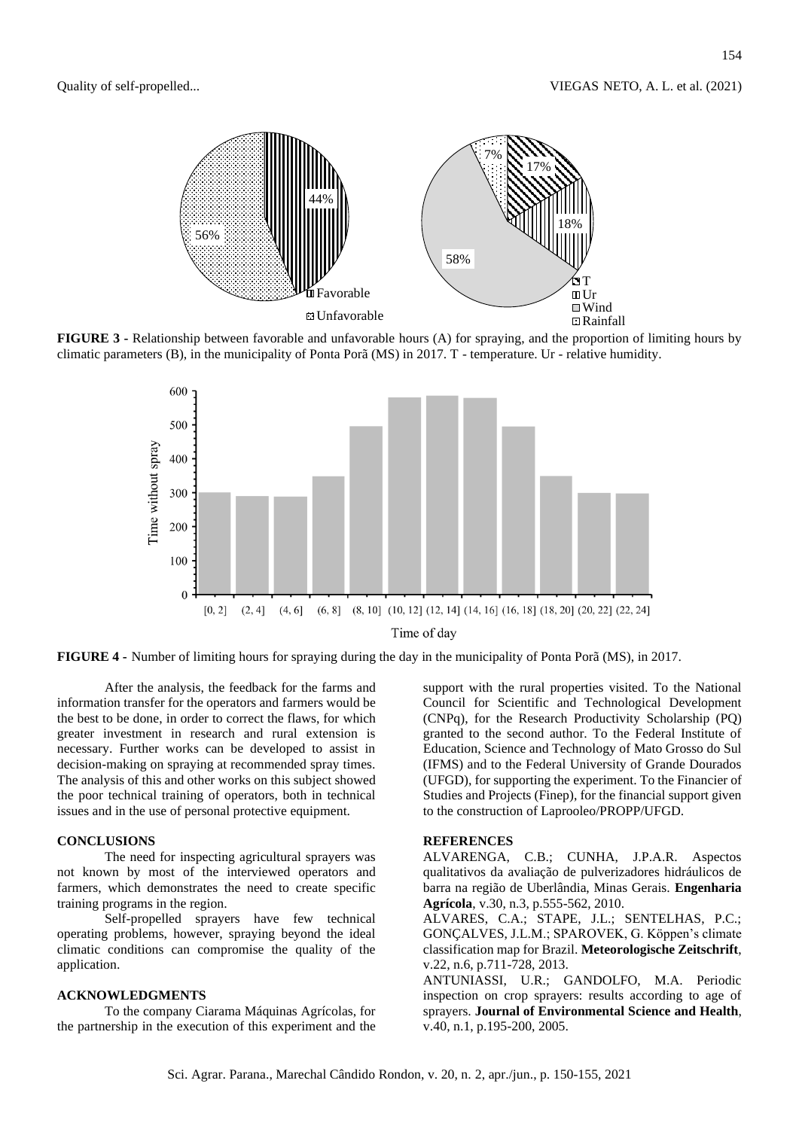

**FIGURE 3 -** Relationship between favorable and unfavorable hours (A) for spraying, and the proportion of limiting hours by climatic parameters (B), in the municipality of Ponta Porã (MS) in 2017. T - temperature. Ur - relative humidity.



**FIGURE 4 -** Number of limiting hours for spraying during the day in the municipality of Ponta Porã (MS), in 2017.

After the analysis, the feedback for the farms and information transfer for the operators and farmers would be the best to be done, in order to correct the flaws, for which greater investment in research and rural extension is necessary. Further works can be developed to assist in decision-making on spraying at recommended spray times. The analysis of this and other works on this subject showed the poor technical training of operators, both in technical issues and in the use of personal protective equipment.

#### **CONCLUSIONS**

The need for inspecting agricultural sprayers was not known by most of the interviewed operators and farmers, which demonstrates the need to create specific training programs in the region.

Self-propelled sprayers have few technical operating problems, however, spraying beyond the ideal climatic conditions can compromise the quality of the application.

### **ACKNOWLEDGMENTS**

To the company Ciarama Máquinas Agrícolas, for the partnership in the execution of this experiment and the

support with the rural properties visited. To the National Council for Scientific and Technological Development (CNPq), for the Research Productivity Scholarship (PQ) granted to the second author. To the Federal Institute of Education, Science and Technology of Mato Grosso do Sul (IFMS) and to the Federal University of Grande Dourados (UFGD), for supporting the experiment. To the Financier of Studies and Projects (Finep), for the financial support given to the construction of Laprooleo/PROPP/UFGD.

#### **REFERENCES**

ALVARENGA, C.B.; CUNHA, J.P.A.R. Aspectos qualitativos da avaliação de pulverizadores hidráulicos de barra na região de Uberlândia, Minas Gerais. **Engenharia Agrícola**, v.30, n.3, p.555-562, 2010.

ALVARES, C.A.; STAPE, J.L.; SENTELHAS, P.C.; GONÇALVES, J.L.M.; SPAROVEK, G. Köppen's climate classification map for Brazil. **Meteorologische Zeitschrift**, v.22, n.6, p.711-728, 2013.

ANTUNIASSI, U.R.; GANDOLFO, M.A. Periodic inspection on crop sprayers: results according to age of sprayers. **Journal of Environmental Science and Health**, v.40, n.1, p.195-200, 2005.